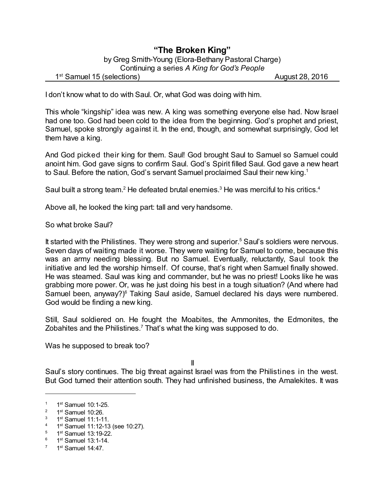## **"The Broken King"** by Greg Smith-Young (Elora-Bethany Pastoral Charge) Continuing a series *A King for God's People*

## 1<sup>st</sup> Samuel 15 (selections) August 28, 2016

I don't know what to do with Saul. Or, what God was doing with him.

This whole "kingship" idea was new. A king was something everyone else had. Now Israel had one too. God had been cold to the idea from the beginning. God's prophet and priest, Samuel, spoke strongly against it. In the end, though, and somewhat surprisingly, God let them have a king.

And God picked their king for them. Saul! God brought Saul to Samuel so Samuel could anoint him. God gave signs to confirm Saul. God's Spirit filled Saul. God gave a new heart to Saul. Before the nation, God's servant Samuel proclaimed Saul their new king.<sup>1</sup>

Saul built a strong team.<sup>2</sup> He defeated brutal enemies.<sup>3</sup> He was merciful to his critics.<sup>4</sup>

Above all, he looked the king part: tall and very handsome.

So what broke Saul?

It started with the Philistines. They were strong and superior.<sup>5</sup> Saul's soldiers were nervous. Seven days of waiting made it worse. They were waiting for Samuel to come, because this was an army needing blessing. But no Samuel. Eventually, reluctantly, Saul took the initiative and led the worship himself. Of course, that's right when Samuel finally showed. He was steamed. Saul was king and commander, but he was no priest! Looks like he was grabbing more power. Or, was he just doing his best in a tough situation? (And where had Samuel been, anyway?)<sup>6</sup> Taking Saul aside, Samuel declared his days were numbered. God would be finding a new king.

Still, Saul soldiered on. He fought the Moabites, the Ammonites, the Edmonites, the Zobahites and the Philistines.<sup>7</sup> That's what the king was supposed to do.

Was he supposed to break too?

II

Saul's story continues. The big threat against Israel was from the Philistines in the west. But God turned their attention south. They had unfinished business, the Amalekites. It was

 $6$  1st Samuel 13:1-14.

 $1$  1<sup>st</sup> Samuel 10:1-25.

 $2^2$  1<sup>st</sup> Samuel 10:26.

 $3$  1st Samuel 11:1-11.

<sup>&</sup>lt;sup>4</sup> 1<sup>st</sup> Samuel 11:12-13 (see 10:27).

<sup>&</sup>lt;sup>5</sup> 1<sup>st</sup> Samuel 13:19-22.

 $7$  1<sup>st</sup> Samuel 14:47.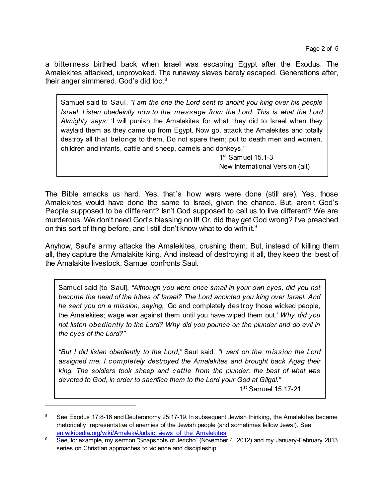a bitterness birthed back when Israel was escaping Egypt after the Exodus. The Amalekites attacked, unprovoked. The runaway slaves barely escaped. Generations after, their anger simmered. God's did too.<sup>8</sup>

Samuel said to Saul, *"I am the one the Lord sent to anoint you king over his people Israel. Listen obedeintly now to the message from the Lord. This is what the Lord Almighty says:* 'I will punish the Amalekites for what they did to Israel when they waylaid them as they came up from Egypt. Now go, attack the Amalekites and totally destroy all that belongs to them. Do not spare them; put to death men and women, children and infants, cattle and sheep, camels and donkeys.'"

> 1st Samuel 15.1-3 New International Version (alt)

The Bible smacks us hard. Yes, that's how wars were done (still are). Yes, those Amalekites would have done the same to Israel, given the chance. But, aren't God's People supposed to be different? Isn't God supposed to call us to live different? We are murderous. We don't need God's blessing on it! Or, did they get God wrong? I've preached on this sort of thing before, and I still don't know what to do with it. $^9$ 

Anyhow, Saul's army attacks the Amalekites, crushing them. But, instead of killing them all, they capture the Amalakite king. And instead of destroying it all, they keep the best of the Amalakite livestock. Samuel confronts Saul.

Samuel said [to Saul], *"Although you were once small in your own eyes, did you not become the head of the tribes of Israel? The Lord anointed you king over Israel. And he sent you on a mission, saying,* 'Go and completely destroy those wicked people, the Amalekites; wage war against them until you have wiped them out.' *Why did you not listen obediently to the Lord? Why did you pounce on the plunder and do evil in the eyes of the Lord?"*

*"But I did listen obediently to the Lord,"* Saul said. *"I went on the mission the Lord assigned me. I completely destroyed the Amalekites and brought back Agag their king. The soldiers took sheep and cattle from the plunder, the best of what was devoted to God, in order to sacrifice them to the Lord your God at Gilgal."*

1<sup>st</sup> Samuel 15.17-21

See Exodus 17:8-16 and Deuteronomy 25:17-19. In subsequent Jewish thinking, the Amalekites became rhetorically representative of enemies of the Jewish people (and sometimes fellow Jews!). See [en.wikipedia.org/wiki/Amalek#Judaic\\_views\\_of\\_the\\_Amalekites](https://en.wikipedia.org/wiki/Amalek#Judaic_views_of_the_Amalekites)

<sup>9</sup> See, for example, my sermon "Snapshots of Jericho" (November 4, 2012) and my January-February 2013 series on Christian approaches to violence and discipleship.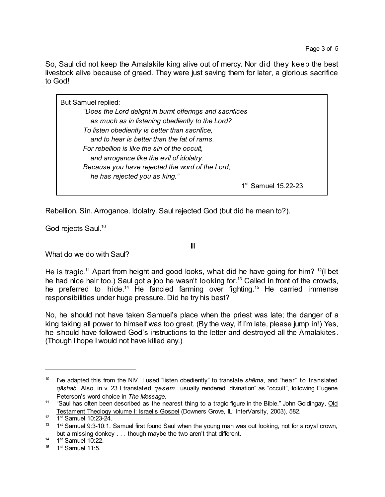So, Saul did not keep the Amalakite king alive out of mercy. Nor did they keep the best livestock alive because of greed. They were just saving them for later, a glorious sacrifice to God!

But Samuel replied: *"Does the Lord delight in burnt offerings and sacrifices as much as in listening obediently to the Lord? To listen obediently is better than sacrifice, and to hear is better than the fat of rams. For rebellion is like the sin of the occult, and arrogance like the evil of idolatry. Because you have rejected the word of the Lord, he has rejected you as king."* 1st Samuel 15.22-23

Rebellion. Sin. Arrogance. Idolatry. Saul rejected God (but did he mean to?).

God rejects Saul. 10

III

What do we do with Saul?

He is tragic.<sup>11</sup> Apart from height and good looks, what did he have going for him? <sup>12</sup>(I bet he had nice hair too.) Saul got a job he wasn't looking for.<sup>13</sup> Called in front of the crowds, he preferred to hide.<sup>14</sup> He fancied farming over fighting.<sup>15</sup> He carried immense responsibilities under huge pressure. Did he try his best?

No, he should not have taken Samuel's place when the priest was late; the danger of a king taking all power to himself was too great. (By the way, if I'm late, please jump in!) Yes, he should have followed God's instructions to the letter and destroyed all the Amalakites. (Though I hope I would not have killed any.)

<sup>&</sup>lt;sup>10</sup> I've adapted this from the NIV. I used "listen obediently" to translate *shēma*, and "hear" to translated *qâshab*. Also, in v. 23 I translated *qesem*, usually rendered "divination" as "occult", following Eugene Peterson's word choice in *The Message*.

<sup>&</sup>lt;sup>11</sup> "Saul has often been described as the nearest thing to a tragic figure in the Bible." John Goldingay, Old Testament Theology volume I: Israel's Gospel (Downers Grove, IL: InterVarsity, 2003), 582.

 $12$  1<sup>st</sup> Samuel 10:23-24.

<sup>&</sup>lt;sup>13</sup> 1<sup>st</sup> Samuel 9:3-10:1. Samuel first found Saul when the young man was out looking, not for a royal crown, but a missing donkey . . . though maybe the two aren't that different.

 $14$  1<sup>st</sup> Samuel 10:22.

 $15$  1st Samuel 11:5.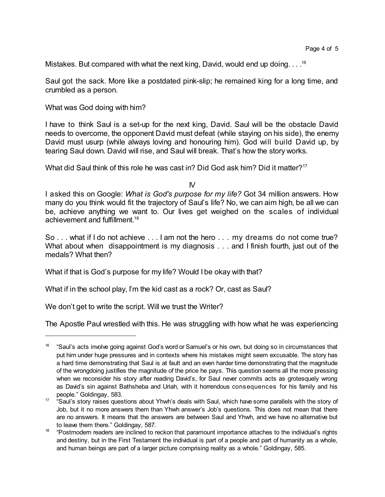Mistakes. But compared with what the next king, David, would end up doing. . . .<sup>16</sup>

Saul got the sack. More like a postdated pink-slip; he remained king for a long time, and crumbled as a person.

What was God doing with him?

I have to think Saul is a set-up for the next king, David. Saul will be the obstacle David needs to overcome, the opponent David must defeat (while staying on his side), the enemy David must usurp (while always loving and honouring him). God will build David up, by tearing Saul down. David will rise, and Saul will break. That's how the story works.

What did Saul think of this role he was cast in? Did God ask him? Did it matter?<sup>17</sup>

IV

I asked this on Google: *What is God's purpose for my life?* Got 34 million answers. How many do you think would fit the trajectory of Saul's life? No, we can aim high, be all we can be, achieve anything we want to. Our lives get weighed on the scales of individual achievement and fulfillment. 18

So . . . what if I do not achieve . . . I am not the hero . . . my dreams do not come true? What about when disappointment is my diagnosis . . . and I finish fourth, just out of the medals? What then?

What if that is God's purpose for my life? Would I be okay with that?

What if in the school play, I'm the kid cast as a rock? Or, cast as Saul?

We don't get to write the script. Will we trust the Writer?

The Apostle Paul wrestled with this. He was struggling with how what he was experiencing

<sup>&</sup>lt;sup>16</sup> "Saul's acts involve going against God's word or Samuel's or his own, but doing so in circumstances that put him under huge pressures and in contexts where his mistakes might seem excusable. The story has a hard time demonstrating that Saul is at fault and an even harder time demonstrating that the magnitude of the wrongdoing justifies the magnitude of the price he pays. This question seems all the more pressing when we reconsider his story after reading David's, for Saul never commits acts as grotesquely wrong as David's sin against Bathsheba and Uriah, with it horrendous consequences for his family and his people." Goldingay, 583.

<sup>&</sup>lt;sup>17</sup> "Saul's story raises questions about Yhwh's deals with Saul, which have some parallels with the story of Job, but it no more answers them than Yhwh answer's Job's questions. This does not mean that there are no answers. It means that the answers are between Saul and Yhwh, and we have no alternative but to leave them there." Goldingay, 587.

<sup>18</sup> "Postmodern readers are inclined to reckon that paramount importance attaches to the individual's rights and destiny, but in the First Testament the individual is part of a people and part of humanity as a whole, and human beings are part of a larger picture comprising reality as a whole." Goldingay, 585.